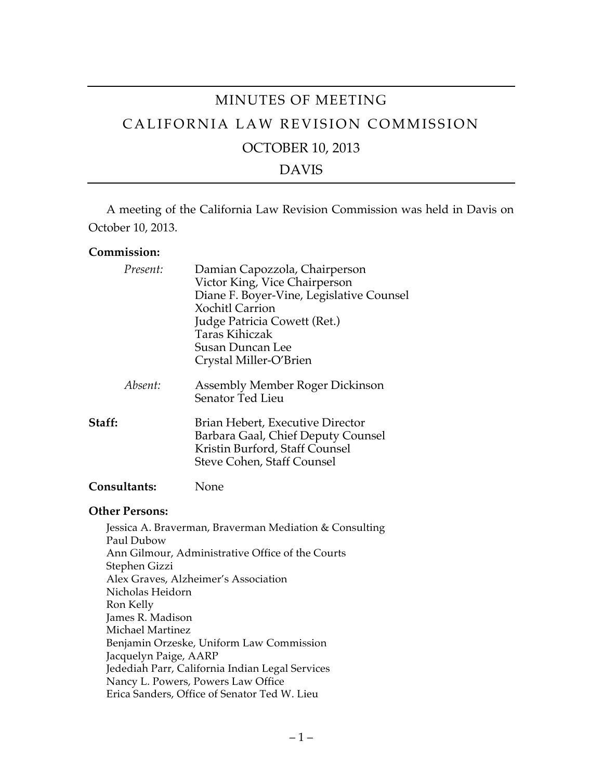# MINUTES OF MEETING CALIFORNIA LAW REVISION COMMISSION OCTOBER 10, 2013 DAVIS

A meeting of the California Law Revision Commission was held in Davis on October 10, 2013.

#### **Commission:**

| Present:            | Damian Capozzola, Chairperson<br>Victor King, Vice Chairperson<br>Diane F. Boyer-Vine, Legislative Counsel<br><b>Xochitl Carrion</b><br>Judge Patricia Cowett (Ret.)<br>Taras Kihiczak<br><b>Susan Duncan Lee</b><br>Crystal Miller-O'Brien |  |
|---------------------|---------------------------------------------------------------------------------------------------------------------------------------------------------------------------------------------------------------------------------------------|--|
| Absent:             | Assembly Member Roger Dickinson<br>Senator Ted Lieu                                                                                                                                                                                         |  |
| Staff:              | Brian Hebert, Executive Director<br>Barbara Gaal, Chief Deputy Counsel<br>Kristin Burford, Staff Counsel<br>Steve Cohen, Staff Counsel                                                                                                      |  |
| <b>Consultants:</b> | None                                                                                                                                                                                                                                        |  |

#### **Other Persons:**

Jessica A. Braverman, Braverman Mediation & Consulting Paul Dubow Ann Gilmour, Administrative Office of the Courts Stephen Gizzi Alex Graves, Alzheimer's Association Nicholas Heidorn Ron Kelly James R. Madison Michael Martinez Benjamin Orzeske, Uniform Law Commission Jacquelyn Paige, AARP Jedediah Parr, California Indian Legal Services Nancy L. Powers, Powers Law Office Erica Sanders, Office of Senator Ted W. Lieu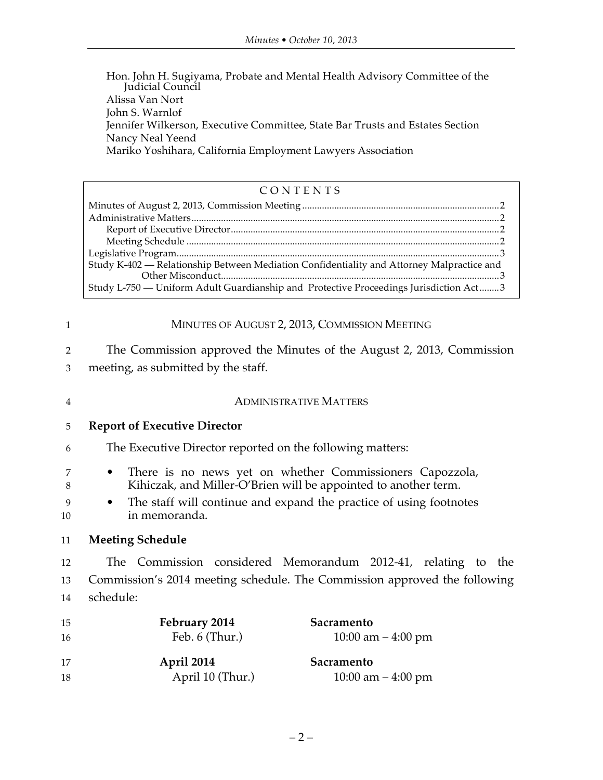Hon. John H. Sugiyama, Probate and Mental Health Advisory Committee of the Judicial Council Alissa Van Nort John S. Warnlof Jennifer Wilkerson, Executive Committee, State Bar Trusts and Estates Section Nancy Neal Yeend Mariko Yoshihara, California Employment Lawyers Association

#### CONTENTS

| Study K-402 - Relationship Between Mediation Confidentiality and Attorney Malpractice and |  |
|-------------------------------------------------------------------------------------------|--|
|                                                                                           |  |
| Study L-750 — Uniform Adult Guardianship and Protective Proceedings Jurisdiction Act3     |  |

| $\mathbf{1}$   | MINUTES OF AUGUST 2, 2013, COMMISSION MEETING                                            |  |  |
|----------------|------------------------------------------------------------------------------------------|--|--|
| 2              | The Commission approved the Minutes of the August 2, 2013, Commission                    |  |  |
| 3              | meeting, as submitted by the staff.                                                      |  |  |
| $\overline{4}$ | <b>ADMINISTRATIVE MATTERS</b>                                                            |  |  |
| 5              | <b>Report of Executive Director</b>                                                      |  |  |
| 6              | The Executive Director reported on the following matters:                                |  |  |
| 7              | There is no news yet on whether Commissioners Capozzola,<br>$\bullet$                    |  |  |
| 8              | Kihiczak, and Miller-O'Brien will be appointed to another term.                          |  |  |
| 9<br>10        | The staff will continue and expand the practice of using footnotes<br>٠<br>in memoranda. |  |  |
| 11             | <b>Meeting Schedule</b>                                                                  |  |  |
| 12             | The Commission considered Memorandum 2012-41, relating to the                            |  |  |
| 13             | Commission's 2014 meeting schedule. The Commission approved the following                |  |  |
| 14             | schedule:                                                                                |  |  |
| 15             | February 2014<br>Sacramento                                                              |  |  |
| 16             | Feb. 6 (Thur.)<br>10:00 am $-$ 4:00 pm                                                   |  |  |
| 17             | April 2014<br>Sacramento                                                                 |  |  |
| 18             | April 10 (Thur.)<br>10:00 am $-$ 4:00 pm                                                 |  |  |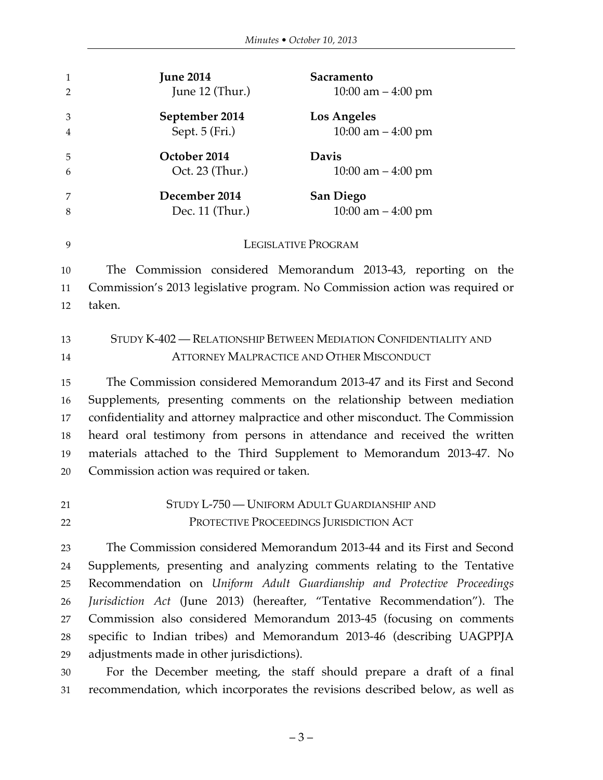| $\mathbf{1}$   | <b>June 2014</b>                                                              | Sacramento                                                            |  |
|----------------|-------------------------------------------------------------------------------|-----------------------------------------------------------------------|--|
| $\overline{2}$ | June 12 (Thur.)                                                               | 10:00 am $-$ 4:00 pm                                                  |  |
| 3              | September 2014                                                                | <b>Los Angeles</b>                                                    |  |
| 4              | Sept. 5 (Fri.)                                                                | $10:00$ am $-4:00$ pm                                                 |  |
| 5              | October 2014                                                                  | <b>Davis</b>                                                          |  |
| 6              | Oct. 23 (Thur.)                                                               | 10:00 am $-$ 4:00 pm                                                  |  |
| 7              | December 2014                                                                 | <b>San Diego</b>                                                      |  |
| 8              | Dec. 11 (Thur.)                                                               | 10:00 am $-$ 4:00 pm                                                  |  |
| 9              | <b>LEGISLATIVE PROGRAM</b>                                                    |                                                                       |  |
| 10             |                                                                               | The Commission considered Memorandum 2013-43, reporting on the        |  |
| 11             | Commission's 2013 legislative program. No Commission action was required or   |                                                                       |  |
| 12             | taken.                                                                        |                                                                       |  |
|                |                                                                               |                                                                       |  |
| 13             | STUDY K-402 - RELATIONSHIP BETWEEN MEDIATION CONFIDENTIALITY AND              |                                                                       |  |
| 14             | <b>ATTORNEY MALPRACTICE AND OTHER MISCONDUCT</b>                              |                                                                       |  |
| 15             |                                                                               | The Commission considered Memorandum 2013-47 and its First and Second |  |
| 16             | Supplements, presenting comments on the relationship between mediation        |                                                                       |  |
| 17             | confidentiality and attorney malpractice and other misconduct. The Commission |                                                                       |  |
| 18             | heard oral testimony from persons in attendance and received the written      |                                                                       |  |
| 19             | materials attached to the Third Supplement to Memorandum 2013-47. No          |                                                                       |  |
| 20             | Commission action was required or taken.                                      |                                                                       |  |
| 21             | STUDY L-750 - UNIFORM ADULT GUARDIANSHIP AND                                  |                                                                       |  |
| 22             | PROTECTIVE PROCEEDINGS JURISDICTION ACT                                       |                                                                       |  |
| 23             |                                                                               | The Commission considered Memorandum 2013-44 and its First and Second |  |
| 24             | Supplements, presenting and analyzing comments relating to the Tentative      |                                                                       |  |
| 25             | Recommendation on Uniform Adult Guardianship and Protective Proceedings       |                                                                       |  |
| 26             | Jurisdiction Act (June 2013) (hereafter, "Tentative Recommendation"). The     |                                                                       |  |
| 27             | Commission also considered Memorandum 2013-45 (focusing on comments           |                                                                       |  |
| 28             | specific to Indian tribes) and Memorandum 2013-46 (describing UAGPPJA         |                                                                       |  |
| 29             | adjustments made in other jurisdictions).                                     |                                                                       |  |
| 30             |                                                                               | For the December meeting, the staff should prepare a draft of a final |  |

recommendation, which incorporates the revisions described below, as well as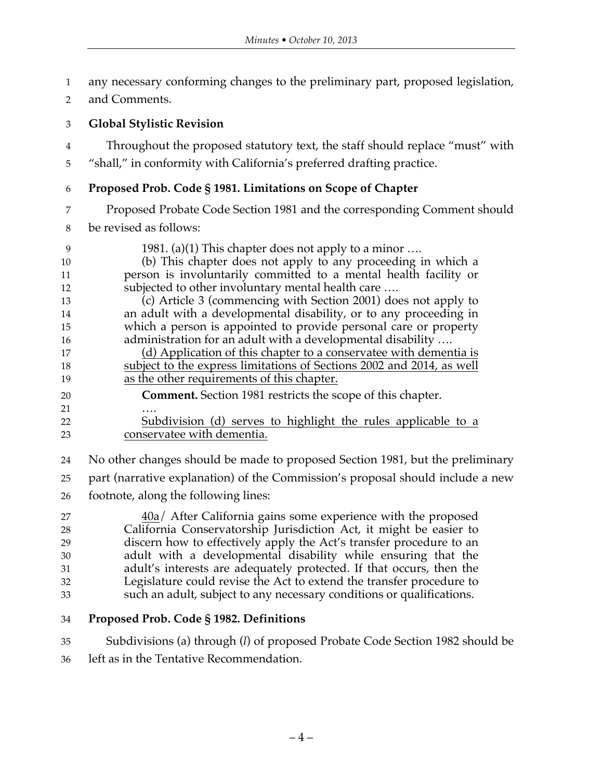- any necessary conforming changes to the preliminary part, proposed legislation,
- and Comments.

#### **Global Stylistic Revision**

Throughout the proposed statutory text, the staff should replace "must" with

"shall," in conformity with California's preferred drafting practice.

#### **Proposed Prob. Code § 1981. Limitations on Scope of Chapter**

Proposed Probate Code Section 1981 and the corresponding Comment should

be revised as follows:

- 9 1981. (a)(1) This chapter does not apply to a minor .... (b) This chapter does not apply to any proceeding in which a person is involuntarily committed to a mental health facility or subjected to other involuntary mental health care …. (c) Article 3 (commencing with Section 2001) does not apply to an adult with a developmental disability, or to any proceeding in which a person is appointed to provide personal care or property 16 administration for an adult with a developmental disability .... 17 (d) Application of this chapter to a conservatee with dementia is subject to the express limitations of Sections 2002 and 2014, as well as the other requirements of this chapter. **Comment.** Section 1981 restricts the scope of this chapter. …. Subdivision (d) serves to highlight the rules applicable to a conservatee with dementia.
- No other changes should be made to proposed Section 1981, but the preliminary
- part (narrative explanation) of the Commission's proposal should include a new
- footnote, along the following lines:

 40a/ After California gains some experience with the proposed California Conservatorship Jurisdiction Act, it might be easier to discern how to effectively apply the Act's transfer procedure to an adult with a developmental disability while ensuring that the adult's interests are adequately protected. If that occurs, then the Legislature could revise the Act to extend the transfer procedure to such an adult, subject to any necessary conditions or qualifications.

#### **Proposed Prob. Code § 1982. Definitions**

 Subdivisions (a) through (*l*) of proposed Probate Code Section 1982 should be left as in the Tentative Recommendation.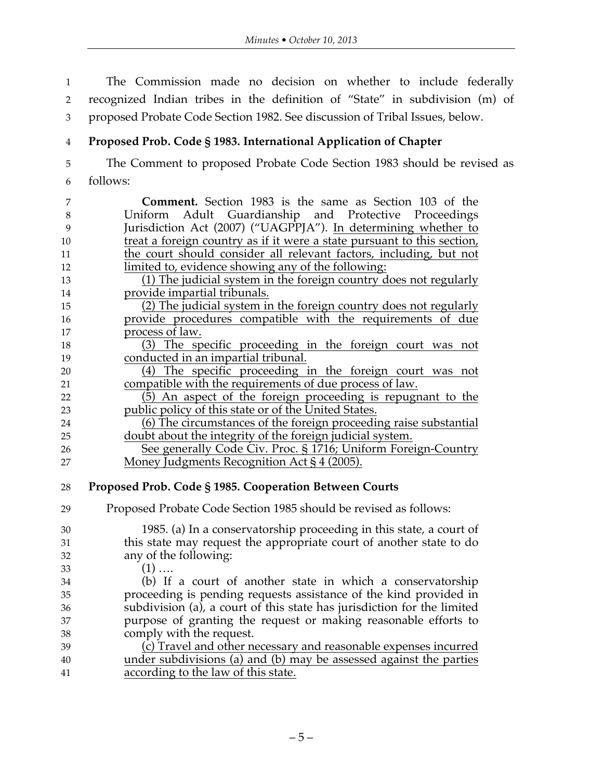The Commission made no decision on whether to include federally recognized Indian tribes in the definition of "State" in subdivision (m) of proposed Probate Code Section 1982. See discussion of Tribal Issues, below.

## **Proposed Prob. Code § 1983. International Application of Chapter**

 The Comment to proposed Probate Code Section 1983 should be revised as follows:

 **Comment.** Section 1983 is the same as Section 103 of the Uniform Adult Guardianship and Protective Proceedings Jurisdiction Act (2007) ("UAGPPJA"). In determining whether to 10 treat a foreign country as if it were a state pursuant to this section, the court should consider all relevant factors, including, but not limited to, evidence showing any of the following: (1) The judicial system in the foreign country does not regularly provide impartial tribunals. (2) The judicial system in the foreign country does not regularly provide procedures compatible with the requirements of due process of law. (3) The specific proceeding in the foreign court was not conducted in an impartial tribunal. (4) The specific proceeding in the foreign court was not compatible with the requirements of due process of law. (5) An aspect of the foreign proceeding is repugnant to the public policy of this state or of the United States. (6) The circumstances of the foreign proceeding raise substantial doubt about the integrity of the foreign judicial system. See generally Code Civ. Proc. § 1716; Uniform Foreign-Country Money Judgments Recognition Act § 4 (2005). **Proposed Prob. Code § 1985. Cooperation Between Courts** Proposed Probate Code Section 1985 should be revised as follows: 1985. (a) In a conservatorship proceeding in this state, a court of this state may request the appropriate court of another state to do any of the following: (1) …. (b) If a court of another state in which a conservatorship proceeding is pending requests assistance of the kind provided in subdivision (a), a court of this state has jurisdiction for the limited purpose of granting the request or making reasonable efforts to comply with the request. (c) Travel and other necessary and reasonable expenses incurred under subdivisions (a) and (b) may be assessed against the parties according to the law of this state.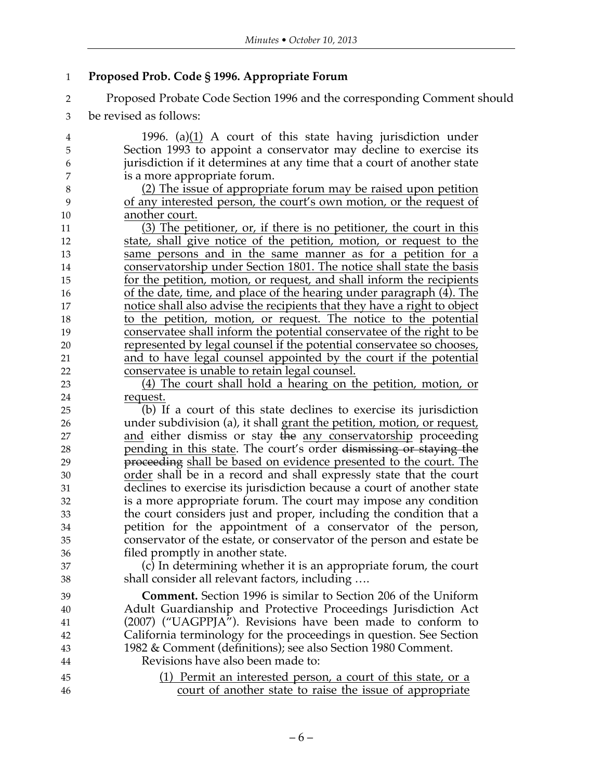## **Proposed Prob. Code § 1996. Appropriate Forum**

- Proposed Probate Code Section 1996 and the corresponding Comment should
- be revised as follows:

| 4                | 1996. (a) $(1)$ A court of this state having jurisdiction under             |
|------------------|-----------------------------------------------------------------------------|
| 5                | Section 1993 to appoint a conservator may decline to exercise its           |
| $\boldsymbol{6}$ | jurisdiction if it determines at any time that a court of another state     |
| 7                | is a more appropriate forum.                                                |
| $\,8\,$          | (2) The issue of appropriate forum may be raised upon petition              |
| 9                | of any interested person, the court's own motion, or the request of         |
| 10               | another court.                                                              |
| 11               | (3) The petitioner, or, if there is no petitioner, the court in this        |
| 12               | state, shall give notice of the petition, motion, or request to the         |
| 13               | same persons and in the same manner as for a petition for a                 |
| 14               | conservatorship under Section 1801. The notice shall state the basis        |
| 15               | for the petition, motion, or request, and shall inform the recipients       |
| 16               | <u>of the date, time, and place of the hearing under paragraph (4). The</u> |
| 17               | notice shall also advise the recipients that they have a right to object    |
| 18               | to the petition, motion, or request. The notice to the potential            |
| 19               | conservatee shall inform the potential conservatee of the right to be       |
| 20               | represented by legal counsel if the potential conservatee so chooses,       |
| 21               | and to have legal counsel appointed by the court if the potential           |
| 22               | conservatee is unable to retain legal counsel.                              |
| 23               | (4) The court shall hold a hearing on the petition, motion, or              |
| 24               | request.                                                                    |
| 25               | (b) If a court of this state declines to exercise its jurisdiction          |
| 26               | under subdivision (a), it shall grant the petition, motion, or request,     |
| 27               | and either dismiss or stay the any conservatorship proceeding               |
| 28               | pending in this state. The court's order dismissing or staying the          |
| 29               | proceeding shall be based on evidence presented to the court. The           |
| 30               | order shall be in a record and shall expressly state that the court         |
| 31               | declines to exercise its jurisdiction because a court of another state      |
| 32               | is a more appropriate forum. The court may impose any condition             |
| 33               | the court considers just and proper, including the condition that a         |
| 34               | petition for the appointment of a conservator of the person,                |
| 35               | conservator of the estate, or conservator of the person and estate be       |
| 36               | filed promptly in another state.                                            |
| 37               | (c) In determining whether it is an appropriate forum, the court            |
| 38               | shall consider all relevant factors, including                              |
| 39               | <b>Comment.</b> Section 1996 is similar to Section 206 of the Uniform       |
| 40               | Adult Guardianship and Protective Proceedings Jurisdiction Act              |
| 41               | (2007) ("UAGPPJA"). Revisions have been made to conform to                  |
| 42               | California terminology for the proceedings in question. See Section         |
| 43               | 1982 & Comment (definitions); see also Section 1980 Comment.                |
| 44               | Revisions have also been made to:                                           |
| 45               | (1) Permit an interested person, a court of this state, or a                |
| 46               | court of another state to raise the issue of appropriate                    |
|                  |                                                                             |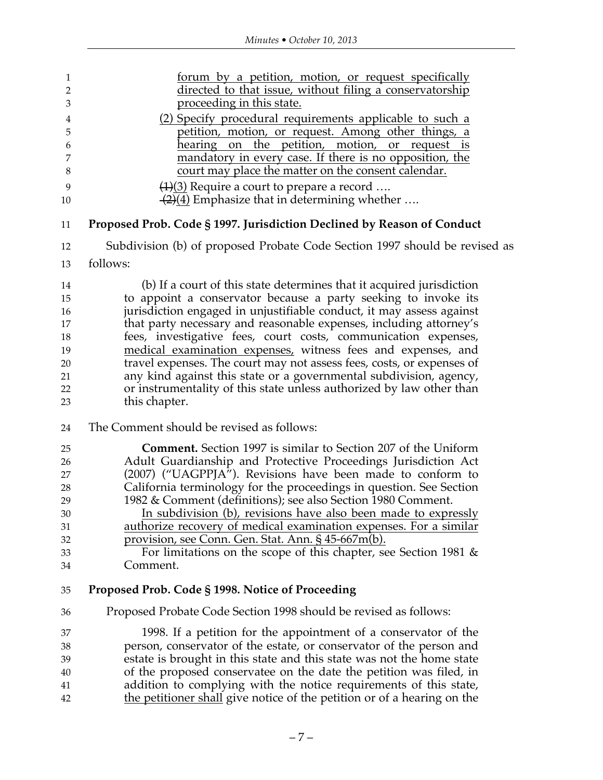| 1              | forum by a petition, motion, or request specifically                       |  |  |
|----------------|----------------------------------------------------------------------------|--|--|
| $\overline{2}$ | directed to that issue, without filing a conservatorship                   |  |  |
| 3              | proceeding in this state.                                                  |  |  |
| 4              | (2) Specify procedural requirements applicable to such a                   |  |  |
| 5              | petition, motion, or request. Among other things, a                        |  |  |
| 6              | the petition, motion, or request is<br>hearing on                          |  |  |
| 7              | mandatory in every case. If there is no opposition, the                    |  |  |
| $\,8\,$        | court may place the matter on the consent calendar.                        |  |  |
| 9              | $\left(\frac{1}{3}\right)$ Require a court to prepare a record             |  |  |
| 10             | $\frac{1}{2}(4)$ Emphasize that in determining whether                     |  |  |
| 11             | Proposed Prob. Code § 1997. Jurisdiction Declined by Reason of Conduct     |  |  |
| 12             | Subdivision (b) of proposed Probate Code Section 1997 should be revised as |  |  |
| 13             | follows:                                                                   |  |  |
| 14             | (b) If a court of this state determines that it acquired jurisdiction      |  |  |
| 15             | to appoint a conservator because a party seeking to invoke its             |  |  |
| 16             | jurisdiction engaged in unjustifiable conduct, it may assess against       |  |  |
| 17             | that party necessary and reasonable expenses, including attorney's         |  |  |
| 18             | fees, investigative fees, court costs, communication expenses,             |  |  |
| 19             | medical examination expenses, witness fees and expenses, and               |  |  |
| 20             | travel expenses. The court may not assess fees, costs, or expenses of      |  |  |
| 21             | any kind against this state or a governmental subdivision, agency,         |  |  |
| 22             | or instrumentality of this state unless authorized by law other than       |  |  |
| 23             | this chapter.                                                              |  |  |
| 24             | The Comment should be revised as follows:                                  |  |  |
| 25             | Comment. Section 1997 is similar to Section 207 of the Uniform             |  |  |
| 26             | Adult Guardianship and Protective Proceedings Jurisdiction Act             |  |  |
| 27             | (2007) ("UAGPPJA"). Revisions have been made to conform to                 |  |  |
| 28             | California terminology for the proceedings in question. See Section        |  |  |
| 29             | 1982 & Comment (definitions); see also Section 1980 Comment.               |  |  |
| 30             | In subdivision (b), revisions have also been made to expressly             |  |  |
| 31             | authorize recovery of medical examination expenses. For a similar          |  |  |
| 32             | provision, see Conn. Gen. Stat. Ann. § 45-667m(b).                         |  |  |
| 33             | For limitations on the scope of this chapter, see Section 1981 $\&$        |  |  |
| 34             | Comment.                                                                   |  |  |
| 35             | Proposed Prob. Code § 1998. Notice of Proceeding                           |  |  |
| 36             | Proposed Probate Code Section 1998 should be revised as follows:           |  |  |
| 37             | 1998. If a petition for the appointment of a conservator of the            |  |  |
| 38             | person, conservator of the estate, or conservator of the person and        |  |  |
| 39             | estate is brought in this state and this state was not the home state      |  |  |
| 40             | of the proposed conservatee on the date the petition was filed, in         |  |  |
| 41             | addition to complying with the notice requirements of this state,          |  |  |
| 42             | the petitioner shall give notice of the petition or of a hearing on the    |  |  |
|                |                                                                            |  |  |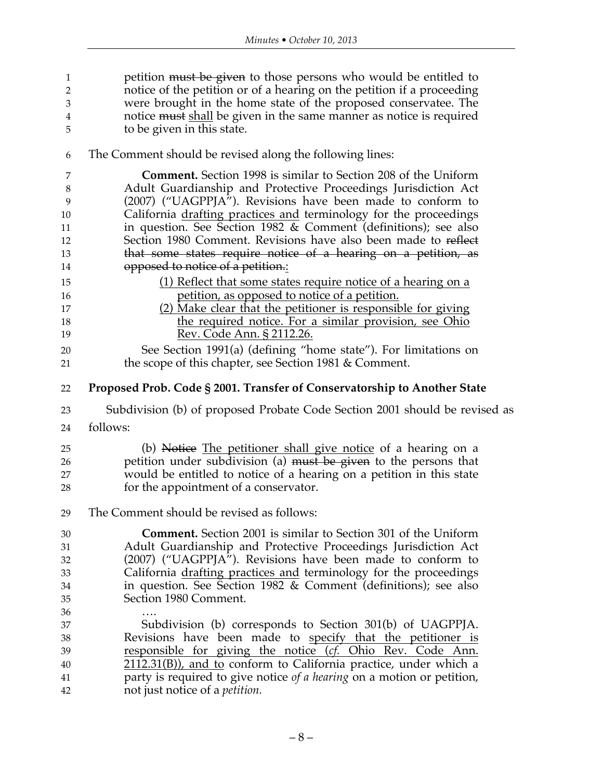| 1<br>2<br>3 | petition must be given to those persons who would be entitled to<br>notice of the petition or of a hearing on the petition if a proceeding<br>were brought in the home state of the proposed conservatee. The |
|-------------|---------------------------------------------------------------------------------------------------------------------------------------------------------------------------------------------------------------|
| 4           | notice must shall be given in the same manner as notice is required                                                                                                                                           |
| 5           | to be given in this state.                                                                                                                                                                                    |
| 6           | The Comment should be revised along the following lines:                                                                                                                                                      |
| 7           | Comment. Section 1998 is similar to Section 208 of the Uniform                                                                                                                                                |
| 8<br>9      | Adult Guardianship and Protective Proceedings Jurisdiction Act<br>(2007) ("UAGPPJA"). Revisions have been made to conform to                                                                                  |
| 10          | California drafting practices and terminology for the proceedings                                                                                                                                             |
| 11          | in question. See Section 1982 & Comment (definitions); see also                                                                                                                                               |
| 12          | Section 1980 Comment. Revisions have also been made to reflect                                                                                                                                                |
| 13          | that some states require notice of a hearing on a petition, as                                                                                                                                                |
| 14          | opposed to notice of a petition.:                                                                                                                                                                             |
| 15          | (1) Reflect that some states require notice of a hearing on a                                                                                                                                                 |
| 16          | petition, as opposed to notice of a petition.                                                                                                                                                                 |
| 17          | (2) Make clear that the petitioner is responsible for giving                                                                                                                                                  |
| 18          | the required notice. For a similar provision, see Ohio                                                                                                                                                        |
| 19          | Rev. Code Ann. § 2112.26.                                                                                                                                                                                     |
| 20          | See Section 1991(a) (defining "home state"). For limitations on                                                                                                                                               |
| 21          | the scope of this chapter, see Section 1981 $\&$ Comment.                                                                                                                                                     |
| 22          | Proposed Prob. Code § 2001. Transfer of Conservatorship to Another State                                                                                                                                      |
| 23          | Subdivision (b) of proposed Probate Code Section 2001 should be revised as                                                                                                                                    |
| 24          | follows:                                                                                                                                                                                                      |
| 25          | (b) Notice The petitioner shall give notice of a hearing on a                                                                                                                                                 |
| 26          | petition under subdivision (a) must be given to the persons that                                                                                                                                              |
| 27          | would be entitled to notice of a hearing on a petition in this state                                                                                                                                          |
| 28          | for the appointment of a conservator.                                                                                                                                                                         |
| 29          | The Comment should be revised as follows:                                                                                                                                                                     |
| 30          | <b>Comment.</b> Section 2001 is similar to Section 301 of the Uniform                                                                                                                                         |
| 31          | Adult Guardianship and Protective Proceedings Jurisdiction Act                                                                                                                                                |
| 32          | (2007) ("UAGPPJA"). Revisions have been made to conform to                                                                                                                                                    |
| 33          | California drafting practices and terminology for the proceedings                                                                                                                                             |
| 34          | in question. See Section 1982 $&$ Comment (definitions); see also                                                                                                                                             |
| 35          | Section 1980 Comment.                                                                                                                                                                                         |
| 36          |                                                                                                                                                                                                               |
| 37          | Subdivision (b) corresponds to Section 301(b) of UAGPPJA.                                                                                                                                                     |
| 38          | Revisions have been made to specify that the petitioner is                                                                                                                                                    |
| 39          |                                                                                                                                                                                                               |
|             | responsible for giving the notice (cf. Ohio Rev. Code Ann.                                                                                                                                                    |
| 40          | $2112.31(B)$ , and to conform to California practice, under which a                                                                                                                                           |
| 41          | party is required to give notice of a hearing on a motion or petition,<br>not just notice of a <i>petition</i> .                                                                                              |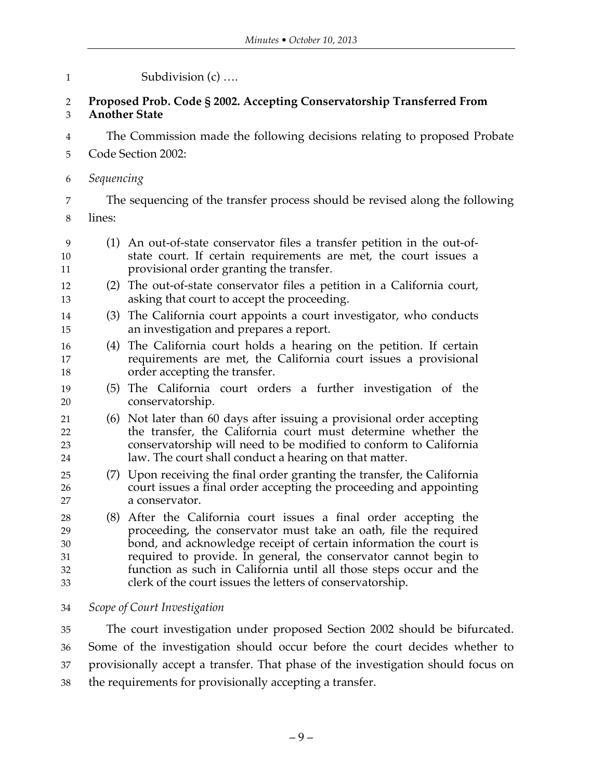| $\mathbf 1$                      | Subdivision (c)                                                                                                                                                                                                                                                                                                                                                                                                   |  |  |
|----------------------------------|-------------------------------------------------------------------------------------------------------------------------------------------------------------------------------------------------------------------------------------------------------------------------------------------------------------------------------------------------------------------------------------------------------------------|--|--|
| $\overline{2}$<br>$\mathfrak{Z}$ | Proposed Prob. Code § 2002. Accepting Conservatorship Transferred From<br><b>Another State</b>                                                                                                                                                                                                                                                                                                                    |  |  |
| $\overline{4}$                   | The Commission made the following decisions relating to proposed Probate                                                                                                                                                                                                                                                                                                                                          |  |  |
| 5                                | Code Section 2002:                                                                                                                                                                                                                                                                                                                                                                                                |  |  |
| 6                                | Sequencing                                                                                                                                                                                                                                                                                                                                                                                                        |  |  |
| 7                                | The sequencing of the transfer process should be revised along the following                                                                                                                                                                                                                                                                                                                                      |  |  |
| 8                                | lines:                                                                                                                                                                                                                                                                                                                                                                                                            |  |  |
| 9<br>10<br>11                    | (1) An out-of-state conservator files a transfer petition in the out-of-<br>state court. If certain requirements are met, the court issues a<br>provisional order granting the transfer.                                                                                                                                                                                                                          |  |  |
| 12<br>13                         | (2) The out-of-state conservator files a petition in a California court,<br>asking that court to accept the proceeding.                                                                                                                                                                                                                                                                                           |  |  |
| 14<br>15                         | The California court appoints a court investigator, who conducts<br>(3)<br>an investigation and prepares a report.                                                                                                                                                                                                                                                                                                |  |  |
| 16<br>17<br>18                   | (4) The California court holds a hearing on the petition. If certain<br>requirements are met, the California court issues a provisional<br>order accepting the transfer.                                                                                                                                                                                                                                          |  |  |
| 19<br>20                         | (5) The California court orders a further investigation of the<br>conservatorship.                                                                                                                                                                                                                                                                                                                                |  |  |
| 21<br>22<br>23<br>24             | (6) Not later than 60 days after issuing a provisional order accepting<br>the transfer, the California court must determine whether the<br>conservatorship will need to be modified to conform to California<br>law. The court shall conduct a hearing on that matter.                                                                                                                                            |  |  |
| 25<br>26<br>27                   | (7) Upon receiving the final order granting the transfer, the California<br>court issues a final order accepting the proceeding and appointing<br>a conservator.                                                                                                                                                                                                                                                  |  |  |
| 28<br>29<br>30<br>31<br>32<br>33 | (8) After the California court issues a final order accepting the<br>proceeding, the conservator must take an oath, file the required<br>bond, and acknowledge receipt of certain information the court is<br>required to provide. In general, the conservator cannot begin to<br>function as such in California until all those steps occur and the<br>clerk of the court issues the letters of conservatorship. |  |  |
| 34                               | Scope of Court Investigation                                                                                                                                                                                                                                                                                                                                                                                      |  |  |
| 35                               | The court investigation under proposed Section 2002 should be bifurcated.                                                                                                                                                                                                                                                                                                                                         |  |  |
| 36                               | Some of the investigation should occur before the court decides whether to                                                                                                                                                                                                                                                                                                                                        |  |  |

provisionally accept a transfer. That phase of the investigation should focus on

the requirements for provisionally accepting a transfer.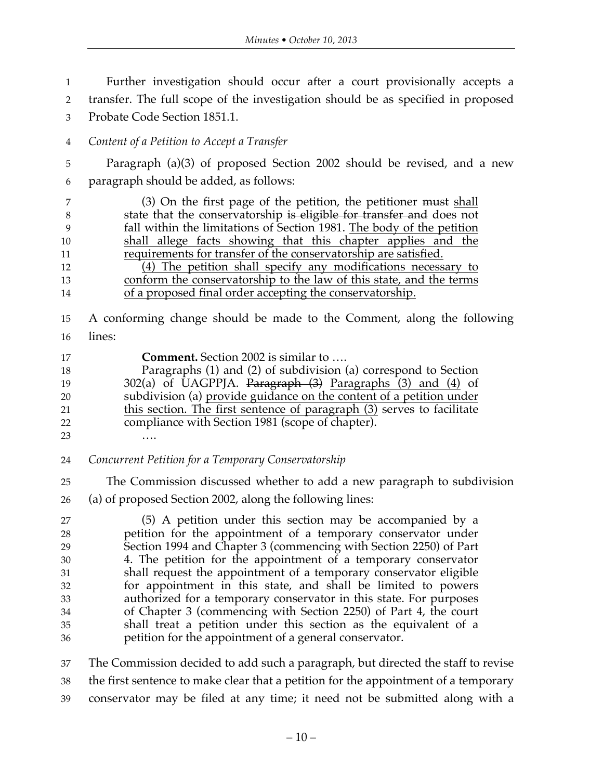Further investigation should occur after a court provisionally accepts a transfer. The full scope of the investigation should be as specified in proposed Probate Code Section 1851.1. *Content of a Petition to Accept a Transfer*

 Paragraph (a)(3) of proposed Section 2002 should be revised, and a new paragraph should be added, as follows:

7 (3) On the first page of the petition, the petitioner must shall 8 state that the conservatorship is eligible for transfer and does not fall within the limitations of Section 1981. The body of the petition shall allege facts showing that this chapter applies and the requirements for transfer of the conservatorship are satisfied. (4) The petition shall specify any modifications necessary to conform the conservatorship to the law of this state, and the terms of a proposed final order accepting the conservatorship.

- A conforming change should be made to the Comment, along the following lines:
- **Comment.** Section 2002 is similar to …. Paragraphs (1) and (2) of subdivision (a) correspond to Section 302(a) of UAGPPJA. Paragraph (3) Paragraphs (3) and (4) of subdivision (a) provide guidance on the content of a petition under this section. The first sentence of paragraph (3) serves to facilitate
- compliance with Section 1981 (scope of chapter).
- ….
- *Concurrent Petition for a Temporary Conservatorship*
- The Commission discussed whether to add a new paragraph to subdivision (a) of proposed Section 2002, along the following lines:

 (5) A petition under this section may be accompanied by a petition for the appointment of a temporary conservator under Section 1994 and Chapter 3 (commencing with Section 2250) of Part 4. The petition for the appointment of a temporary conservator shall request the appointment of a temporary conservator eligible for appointment in this state, and shall be limited to powers authorized for a temporary conservator in this state. For purposes of Chapter 3 (commencing with Section 2250) of Part 4, the court shall treat a petition under this section as the equivalent of a petition for the appointment of a general conservator.

 The Commission decided to add such a paragraph, but directed the staff to revise the first sentence to make clear that a petition for the appointment of a temporary conservator may be filed at any time; it need not be submitted along with a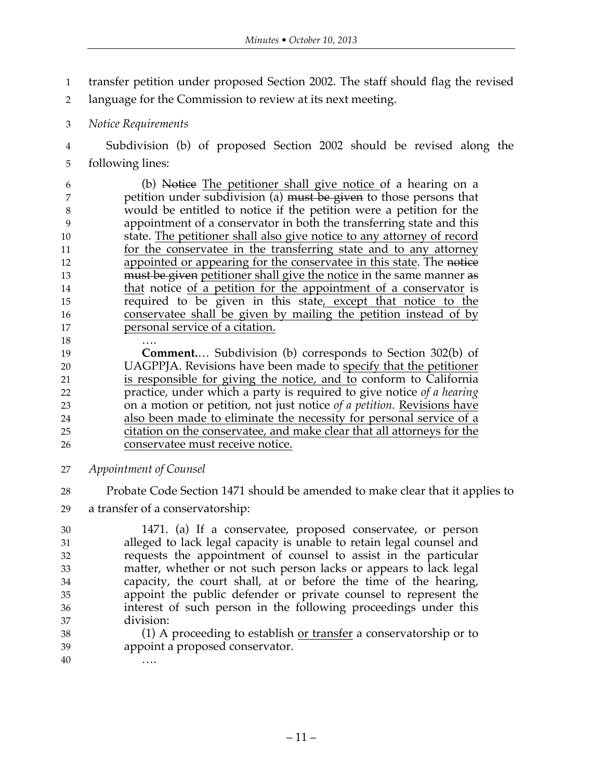- transfer petition under proposed Section 2002. The staff should flag the revised
- language for the Commission to review at its next meeting.
- *Notice Requirements*
- Subdivision (b) of proposed Section 2002 should be revised along the following lines:

 (b) Notice The petitioner shall give notice of a hearing on a 7 petition under subdivision (a) must be given to those persons that would be entitled to notice if the petition were a petition for the appointment of a conservator in both the transferring state and this 10 state. The petitioner shall also give notice to any attorney of record for the conservatee in the transferring state and to any attorney 12 appointed or appearing for the conservatee in this state. The notice 13 must be given petitioner shall give the notice in the same manner as 14 that notice of a petition for the appointment of a conservator is required to be given in this state, except that notice to the conservatee shall be given by mailing the petition instead of by personal service of a citation.

….

 **Comment.**… Subdivision (b) corresponds to Section 302(b) of UAGPPJA. Revisions have been made to specify that the petitioner is responsible for giving the notice, and to conform to California practice, under which a party is required to give notice *of a hearing* on a motion or petition, not just notice *of a petition.* Revisions have also been made to eliminate the necessity for personal service of a citation on the conservatee, and make clear that all attorneys for the conservatee must receive notice.

- *Appointment of Counsel*
- Probate Code Section 1471 should be amended to make clear that it applies to
- a transfer of a conservatorship:

 1471. (a) If a conservatee, proposed conservatee, or person alleged to lack legal capacity is unable to retain legal counsel and requests the appointment of counsel to assist in the particular matter, whether or not such person lacks or appears to lack legal capacity, the court shall, at or before the time of the hearing, appoint the public defender or private counsel to represent the interest of such person in the following proceedings under this division:

38 (1) A proceeding to establish <u>or transfer</u> a conservatorship or to appoint a proposed conservator.

….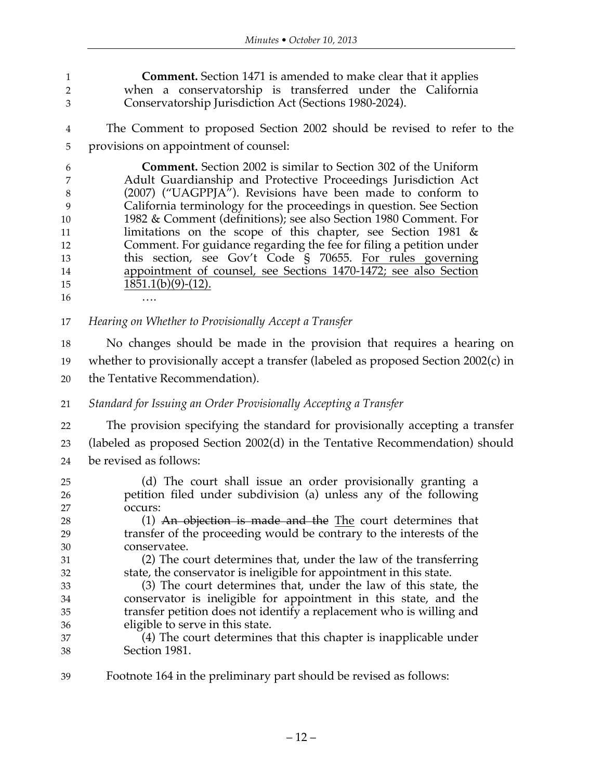**Comment.** Section 1471 is amended to make clear that it applies when a conservatorship is transferred under the California Conservatorship Jurisdiction Act (Sections 1980-2024).

 The Comment to proposed Section 2002 should be revised to refer to the provisions on appointment of counsel:

 **Comment.** Section 2002 is similar to Section 302 of the Uniform Adult Guardianship and Protective Proceedings Jurisdiction Act (2007) ("UAGPPJA"). Revisions have been made to conform to California terminology for the proceedings in question. See Section 1982 & Comment (definitions); see also Section 1980 Comment. For 11 limitations on the scope of this chapter, see Section 1981 & Comment. For guidance regarding the fee for filing a petition under this section, see Gov't Code § 70655. For rules governing appointment of counsel, see Sections 1470-1472; see also Section  $1851.1(b)(9)-(12)$ . ….

*Hearing on Whether to Provisionally Accept a Transfer*

 No changes should be made in the provision that requires a hearing on whether to provisionally accept a transfer (labeled as proposed Section 2002(c) in the Tentative Recommendation).

*Standard for Issuing an Order Provisionally Accepting a Transfer*

 The provision specifying the standard for provisionally accepting a transfer (labeled as proposed Section 2002(d) in the Tentative Recommendation) should be revised as follows:

- (d) The court shall issue an order provisionally granting a petition filed under subdivision (a) unless any of the following occurs: 28 (1) An objection is made and the The court determines that transfer of the proceeding would be contrary to the interests of the conservatee. (2) The court determines that, under the law of the transferring state, the conservator is ineligible for appointment in this state. (3) The court determines that, under the law of this state, the conservator is ineligible for appointment in this state, and the transfer petition does not identify a replacement who is willing and eligible to serve in this state. (4) The court determines that this chapter is inapplicable under Section 1981.
- Footnote 164 in the preliminary part should be revised as follows: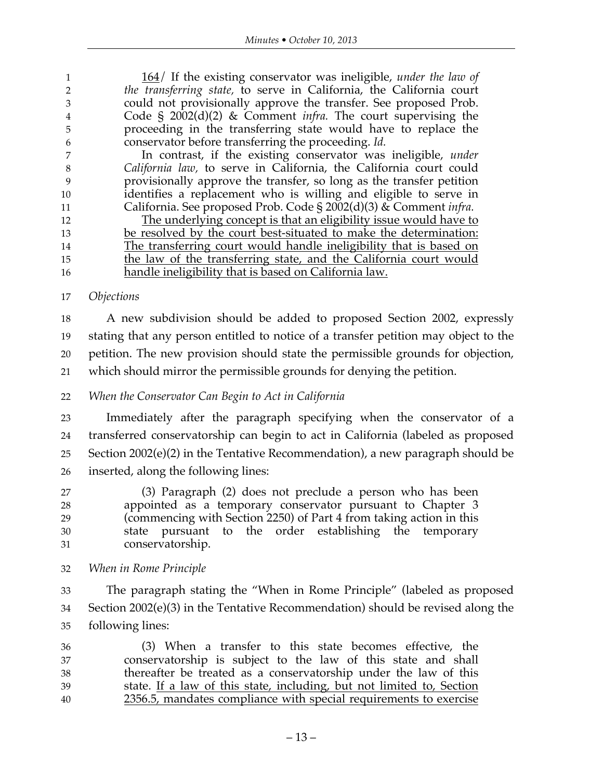164/ If the existing conservator was ineligible, *under the law of the transferring state,* to serve in California, the California court could not provisionally approve the transfer. See proposed Prob. Code § 2002(d)(2) & Comment *infra.* The court supervising the proceeding in the transferring state would have to replace the conservator before transferring the proceeding. *Id.*

 In contrast, if the existing conservator was ineligible, *under California law,* to serve in California, the California court could provisionally approve the transfer, so long as the transfer petition identifies a replacement who is willing and eligible to serve in California. See proposed Prob. Code § 2002(d)(3) & Comment *infra.*

12 The underlying concept is that an eligibility issue would have to be resolved by the court best-situated to make the determination: The transferring court would handle ineligibility that is based on 15 the law of the transferring state, and the California court would handle ineligibility that is based on California law.

#### *Objections*

 A new subdivision should be added to proposed Section 2002, expressly stating that any person entitled to notice of a transfer petition may object to the petition. The new provision should state the permissible grounds for objection, which should mirror the permissible grounds for denying the petition.

### *When the Conservator Can Begin to Act in California*

 Immediately after the paragraph specifying when the conservator of a transferred conservatorship can begin to act in California (labeled as proposed Section 2002(e)(2) in the Tentative Recommendation), a new paragraph should be inserted, along the following lines:

 (3) Paragraph (2) does not preclude a person who has been appointed as a temporary conservator pursuant to Chapter 3 (commencing with Section 2250) of Part 4 from taking action in this state pursuant to the order establishing the temporary conservatorship.

*When in Rome Principle*

 The paragraph stating the "When in Rome Principle" (labeled as proposed Section 2002(e)(3) in the Tentative Recommendation) should be revised along the following lines:

 (3) When a transfer to this state becomes effective, the conservatorship is subject to the law of this state and shall thereafter be treated as a conservatorship under the law of this state. If a law of this state, including, but not limited to, Section 2356.5, mandates compliance with special requirements to exercise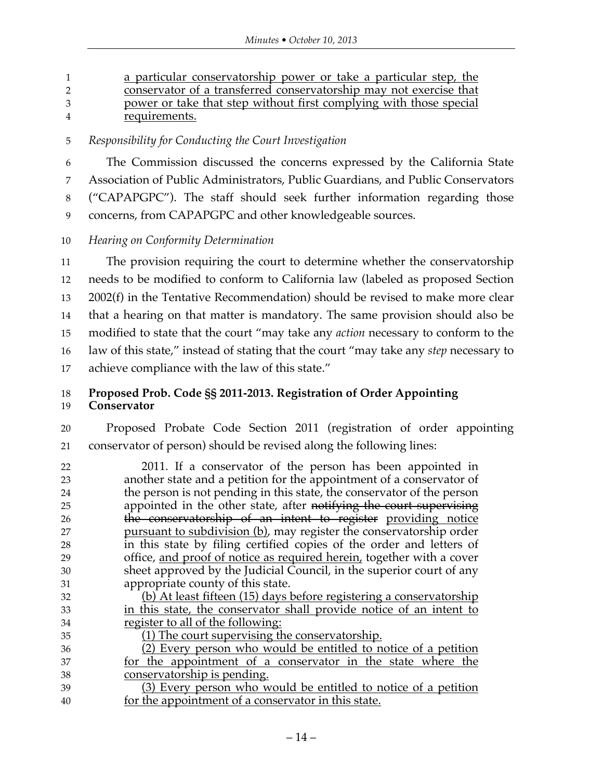a particular conservatorship power or take a particular step, the conservator of a transferred conservatorship may not exercise that power or take that step without first complying with those special requirements.

*Responsibility for Conducting the Court Investigation*

 The Commission discussed the concerns expressed by the California State Association of Public Administrators, Public Guardians, and Public Conservators ("CAPAPGPC"). The staff should seek further information regarding those concerns, from CAPAPGPC and other knowledgeable sources.

*Hearing on Conformity Determination*

 The provision requiring the court to determine whether the conservatorship needs to be modified to conform to California law (labeled as proposed Section 2002(f) in the Tentative Recommendation) should be revised to make more clear that a hearing on that matter is mandatory. The same provision should also be modified to state that the court "may take any *action* necessary to conform to the law of this state," instead of stating that the court "may take any *step* necessary to achieve compliance with the law of this state."

## **Proposed Prob. Code §§ 2011-2013. Registration of Order Appointing**

#### **Conservator**

 Proposed Probate Code Section 2011 (registration of order appointing conservator of person) should be revised along the following lines:

- 2011. If a conservator of the person has been appointed in another state and a petition for the appointment of a conservator of the person is not pending in this state, the conservator of the person appointed in the other state, after notifying the court supervising 26 the conservatorship of an intent to register providing notice pursuant to subdivision (b), may register the conservatorship order in this state by filing certified copies of the order and letters of office, and proof of notice as required herein, together with a cover sheet approved by the Judicial Council, in the superior court of any appropriate county of this state.
- (b) At least fifteen (15) days before registering a conservatorship in this state, the conservator shall provide notice of an intent to register to all of the following:

 $\overline{1}$  (1) The court supervising the conservatorship.

 (2) Every person who would be entitled to notice of a petition for the appointment of a conservator in the state where the conservatorship is pending.

 (3) Every person who would be entitled to notice of a petition for the appointment of a conservator in this state.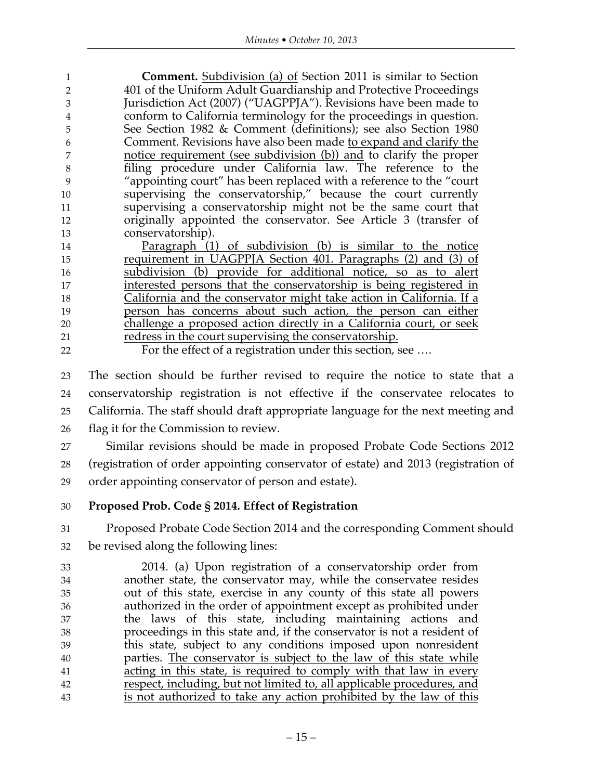|    | <b>Comment.</b> Subdivision (a) of Section 2011 is similar to Section |
|----|-----------------------------------------------------------------------|
|    | 401 of the Uniform Adult Guardianship and Protective Proceedings      |
|    | Jurisdiction Act (2007) ("UAGPPJA"). Revisions have been made to      |
|    | conform to California terminology for the proceedings in question.    |
| 5  | See Section 1982 & Comment (definitions); see also Section 1980       |
| h  | Comment. Revisions have also been made to expand and clarify the      |
|    | notice requirement (see subdivision (b)) and to clarify the proper    |
| 8  | filing procedure under California law. The reference to the           |
|    | "appointing court" has been replaced with a reference to the "court"  |
| 10 | supervising the conservatorship," because the court currently         |
| 11 | supervising a conservatorship might not be the same court that        |
| 12 | originally appointed the conservator. See Article 3 (transfer of      |
| 13 | conservatorship).                                                     |
|    |                                                                       |

 Paragraph (1) of subdivision (b) is similar to the notice requirement in UAGPPJA Section 401. Paragraphs (2) and (3) of subdivision (b) provide for additional notice, so as to alert interested persons that the conservatorship is being registered in California and the conservator might take action in California. If a person has concerns about such action, the person can either challenge a proposed action directly in a California court, or seek redress in the court supervising the conservatorship.

For the effect of a registration under this section, see ….

 The section should be further revised to require the notice to state that a conservatorship registration is not effective if the conservatee relocates to California. The staff should draft appropriate language for the next meeting and flag it for the Commission to review.

 Similar revisions should be made in proposed Probate Code Sections 2012 (registration of order appointing conservator of estate) and 2013 (registration of order appointing conservator of person and estate).

#### **Proposed Prob. Code § 2014. Effect of Registration**

 Proposed Probate Code Section 2014 and the corresponding Comment should be revised along the following lines:

 2014. (a) Upon registration of a conservatorship order from another state, the conservator may, while the conservatee resides out of this state, exercise in any county of this state all powers authorized in the order of appointment except as prohibited under the laws of this state, including maintaining actions and proceedings in this state and, if the conservator is not a resident of this state, subject to any conditions imposed upon nonresident parties. The conservator is subject to the law of this state while 41 acting in this state, is required to comply with that law in every respect, including, but not limited to, all applicable procedures, and is not authorized to take any action prohibited by the law of this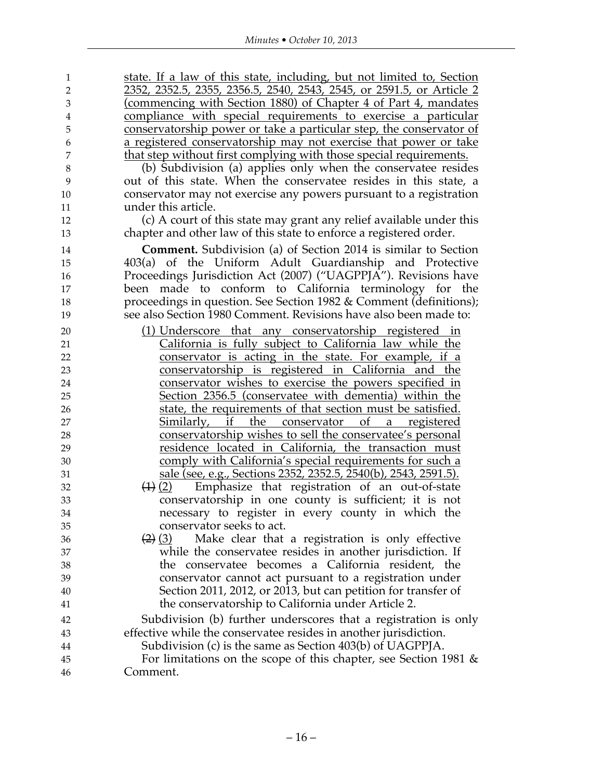| $\mathbf{1}$   | state. If a law of this state, including, but not limited to, Section |
|----------------|-----------------------------------------------------------------------|
| $\overline{2}$ | 2352, 2352.5, 2355, 2356.5, 2540, 2543, 2545, or 2591.5, or Article 2 |
| 3              | (commencing with Section 1880) of Chapter 4 of Part 4, mandates       |
| $\bf 4$        | compliance with special requirements to exercise a particular         |
| 5              | conservatorship power or take a particular step, the conservator of   |
| 6              | a registered conservatorship may not exercise that power or take      |
| 7              | that step without first complying with those special requirements.    |
| $8\,$          | (b) Subdivision (a) applies only when the conservatee resides         |
| 9              | out of this state. When the conservatee resides in this state, a      |
| 10             | conservator may not exercise any powers pursuant to a registration    |
| 11             | under this article.                                                   |
| 12             | (c) A court of this state may grant any relief available under this   |
| 13             | chapter and other law of this state to enforce a registered order.    |
| 14             | <b>Comment.</b> Subdivision (a) of Section 2014 is similar to Section |
| 15             | 403(a) of the Uniform Adult Guardianship and Protective               |
| 16             | Proceedings Jurisdiction Act (2007) ("UAGPPJA"). Revisions have       |
| 17             | been made to conform to California terminology for the                |
| 18             | proceedings in question. See Section 1982 & Comment (definitions);    |
| 19             | see also Section 1980 Comment. Revisions have also been made to:      |
| 20             | (1) Underscore that any conservatorship registered in                 |
| 21             | California is fully subject to California law while the               |
| 22             | conservator is acting in the state. For example, if a                 |
| 23             | conservatorship is registered in California and the                   |
| 24             | conservator wishes to exercise the powers specified in                |
| 25             | Section 2356.5 (conservatee with dementia) within the                 |
| 26             | state, the requirements of that section must be satisfied.            |
| 27             | Similarly, if the conservator of a<br>registered                      |
| 28             | conservatorship wishes to sell the conservatee's personal             |
| 29             | residence located in California, the transaction must                 |
| 30             | <u>comply with California's special requirements for such a</u>       |
| 31             | sale (see, e.g., Sections 2352, 2352.5, 2540(b), 2543, 2591.5).       |
| 32             | (1) (2)<br>Emphasize that registration of an out-of-state             |
| 33             | conservatorship in one county is sufficient; it is not                |
| 34             | necessary to register in every county in which the                    |
| 35             | conservator seeks to act.                                             |
| 36             | Make clear that a registration is only effective<br>$(2)$ (3)         |
| 37             | while the conservatee resides in another jurisdiction. If             |
| 38             | the conservatee becomes a California resident, the                    |
| 39             | conservator cannot act pursuant to a registration under               |
| 40             | Section 2011, 2012, or 2013, but can petition for transfer of         |
| 41             | the conservatorship to California under Article 2.                    |
| 42             | Subdivision (b) further underscores that a registration is only       |
| 43             | effective while the conservatee resides in another jurisdiction.      |
| 44             | Subdivision (c) is the same as Section 403(b) of UAGPPJA.             |
| 45             | For limitations on the scope of this chapter, see Section 1981 $\&$   |
| 46             | Comment.                                                              |
|                |                                                                       |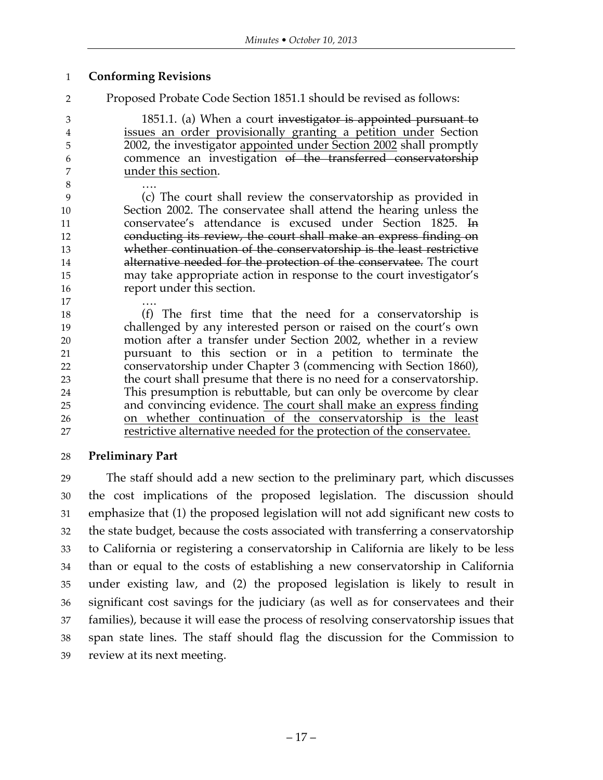#### **Conforming Revisions**

Proposed Probate Code Section 1851.1 should be revised as follows:

3 1851.1. (a) When a court investigator is appointed pursuant to issues an order provisionally granting a petition under Section 2002, the investigator appointed under Section 2002 shall promptly commence an investigation of the transferred conservatorship under this section.

 …. (c) The court shall review the conservatorship as provided in Section 2002. The conservatee shall attend the hearing unless the conservatee's attendance is excused under Section 1825. In conducting its review, the court shall make an express finding on whether continuation of the conservatorship is the least restrictive 14 alternative needed for the protection of the conservatee. The court may take appropriate action in response to the court investigator's report under this section.

 …. (f) The first time that the need for a conservatorship is challenged by any interested person or raised on the court's own motion after a transfer under Section 2002, whether in a review pursuant to this section or in a petition to terminate the conservatorship under Chapter 3 (commencing with Section 1860), the court shall presume that there is no need for a conservatorship. This presumption is rebuttable, but can only be overcome by clear 25 and convincing evidence. The court shall make an express finding on whether continuation of the conservatorship is the least restrictive alternative needed for the protection of the conservatee.

## **Preliminary Part**

 The staff should add a new section to the preliminary part, which discusses the cost implications of the proposed legislation. The discussion should emphasize that (1) the proposed legislation will not add significant new costs to the state budget, because the costs associated with transferring a conservatorship to California or registering a conservatorship in California are likely to be less than or equal to the costs of establishing a new conservatorship in California under existing law, and (2) the proposed legislation is likely to result in significant cost savings for the judiciary (as well as for conservatees and their families), because it will ease the process of resolving conservatorship issues that span state lines. The staff should flag the discussion for the Commission to review at its next meeting.